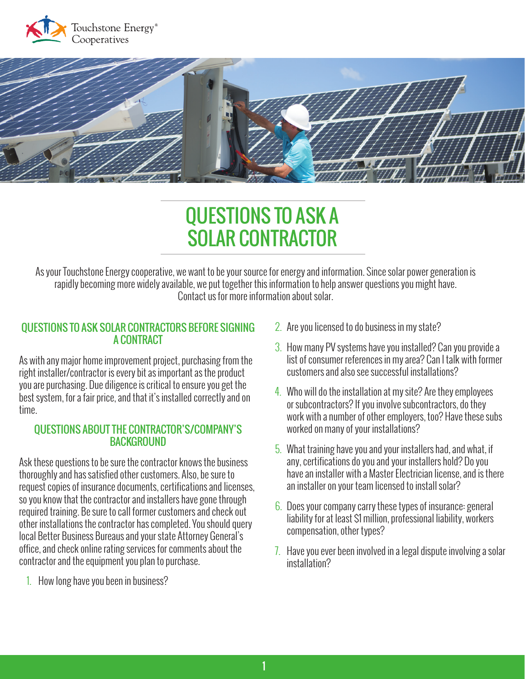



# QUESTIONS TO ASK A SOLAR CONTRACTOR

As your Touchstone Energy cooperative, we want to be your source for energy and information. Since solar power generation is rapidly becoming more widely available, we put together this information to help answer questions you might have. Contact us for more information about solar.

### QUESTIONS TO ASK SOLAR CONTRACTORS BEFORE SIGNING A CONTRACT

As with any major home improvement project, purchasing from the right installer/contractor is every bit as important as the product you are purchasing. Due diligence is critical to ensure you get the best system, for a fair price, and that it's installed correctly and on time.

#### QUESTIONS ABOUT THE CONTRACTOR'S/COMPANY'S **BACKGROUND**

Ask these questions to be sure the contractor knows the business thoroughly and has satisfied other customers. Also, be sure to request copies of insurance documents, certifications and licenses, so you know that the contractor and installers have gone through required training. Be sure to call former customers and check out other installations the contractor has completed. You should query local Better Business Bureaus and your state Attorney General's office, and check online rating services for comments about the contractor and the equipment you plan to purchase.

1. How long have you been in business?

- 2. Are you licensed to do business in my state?
- 3. How many PV systems have you installed? Can you provide a list of consumer references in my area? Can I talk with former customers and also see successful installations?
- 4. Who will do the installation at my site? Are they employees or subcontractors? If you involve subcontractors, do they work with a number of other employers, too? Have these subs worked on many of your installations?
- 5. What training have you and your installers had, and what, if any, certifications do you and your installers hold? Do you have an installer with a Master Electrician license, and is there an installer on your team licensed to install solar?
- 6. Does your company carry these types of insurance: general liability for at least \$1 million, professional liability, workers compensation, other types?
- 7. Have you ever been involved in a legal dispute involving a solar installation?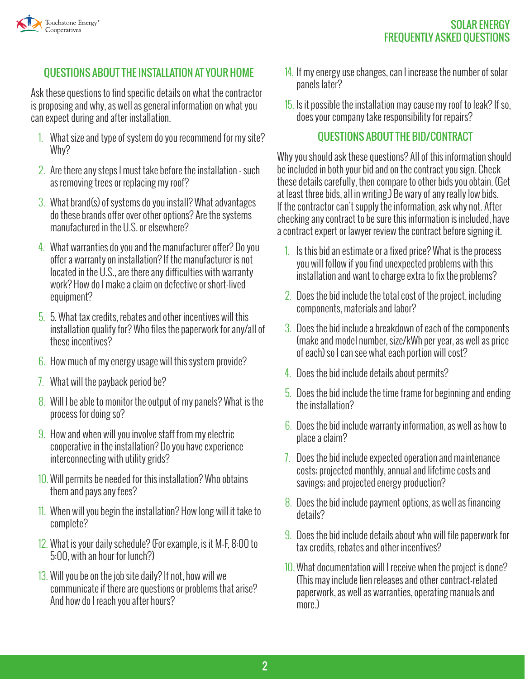

# QUESTIONS ABOUT THE INSTALLATION AT YOUR HOME

Ask these questions to find specific details on what the contractor is proposing and why, as well as general information on what you can expect during and after installation.

- 1. What size and type of system do you recommend for my site? Why?
- 2. Are there any steps I must take before the installation such as removing trees or replacing my roof?
- 3. What brand(s) of systems do you install? What advantages do these brands offer over other options? Are the systems manufactured in the U.S. or elsewhere?
- 4. What warranties do you and the manufacturer offer? Do you offer a warranty on installation? If the manufacturer is not located in the U.S., are there any difficulties with warranty work? How do I make a claim on defective or short-lived equipment?
- 5. 5. What tax credits, rebates and other incentives will this installation qualify for? Who files the paperwork for any/all of these incentives?
- 6. How much of my energy usage will this system provide?
- 7. What will the payback period be?
- 8. Will I be able to monitor the output of my panels? What is the process for doing so?
- 9. How and when will you involve staff from my electric cooperative in the installation? Do you have experience interconnecting with utility grids?
- 10. Will permits be needed for this installation? Who obtains them and pays any fees?
- 11. When will you begin the installation? How long will it take to complete?
- 12. What is your daily schedule? (For example, is it M-F, 8:00 to 5:00, with an hour for lunch?)
- 13. Will you be on the job site daily? If not, how will we communicate if there are questions or problems that arise? And how do I reach you after hours?
- 14. If my energy use changes, can I increase the number of solar panels later?
- 15. Is it possible the installation may cause my roof to leak? If so, does your company take responsibility for repairs?

### QUESTIONS ABOUT THE BID/CONTRACT

Why you should ask these questions? All of this information should be included in both your bid and on the contract you sign. Check these details carefully, then compare to other bids you obtain. (Get at least three bids, all in writing.) Be wary of any really low bids. If the contractor can't supply the information, ask why not. After checking any contract to be sure this information is included, have a contract expert or lawyer review the contract before signing it.

- 1. Is this bid an estimate or a fixed price? What is the process you will follow if you find unexpected problems with this installation and want to charge extra to fix the problems?
- 2. Does the bid include the total cost of the project, including components, materials and labor?
- 3. Does the bid include a breakdown of each of the components (make and model number, size/kWh per year, as well as price of each) so I can see what each portion will cost?
- 4. Does the bid include details about permits?
- 5. Does the bid include the time frame for beginning and ending the installation?
- 6. Does the bid include warranty information, as well as how to place a claim?
- 7. Does the bid include expected operation and maintenance costs; projected monthly, annual and lifetime costs and savings; and projected energy production?
- 8. Does the bid include payment options, as well as financing details?
- 9. Does the bid include details about who will file paperwork for tax credits, rebates and other incentives?
- 10. What documentation will I receive when the project is done? (This may include lien releases and other contract-related paperwork, as well as warranties, operating manuals and more.)